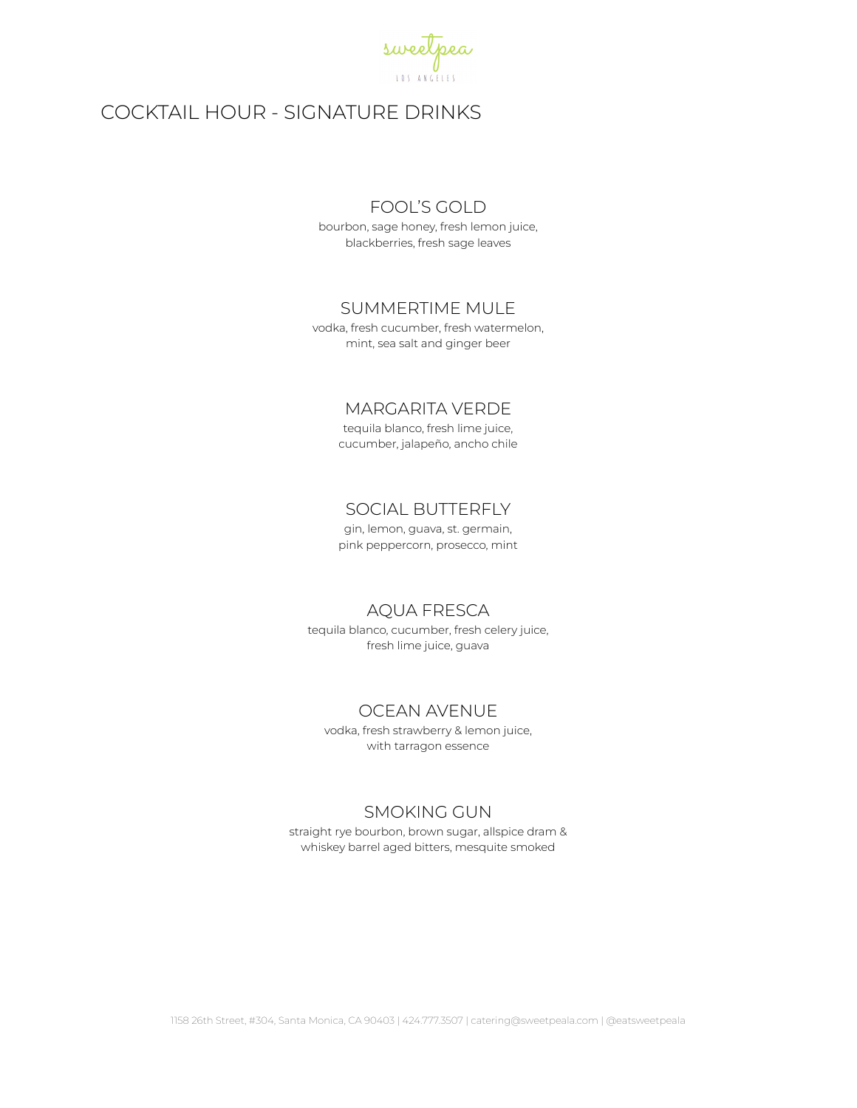

# COCKTAIL HOUR - SIGNATURE DRINKS

#### FOOL'S GOLD

bourbon, sage honey, fresh lemon juice, blackberries, fresh sage leaves

#### SUMMERTIME MULE

vodka, fresh cucumber, fresh watermelon, mint, sea salt and ginger beer

### MARGARITA VERDE

tequila blanco, fresh lime juice, cucumber, jalapeño, ancho chile

### SOCIAL BUTTERFLY

gin, lemon, guava, st. germain, pink peppercorn, prosecco, mint

#### AQUA FRESCA

tequila blanco, cucumber, fresh celery juice, fresh lime juice, guava

#### OCEAN AVENUE

vodka, fresh strawberry & lemon juice, with tarragon essence

### SMOKING GUN

straight rye bourbon, brown sugar, allspice dram & whiskey barrel aged bitters, mesquite smoked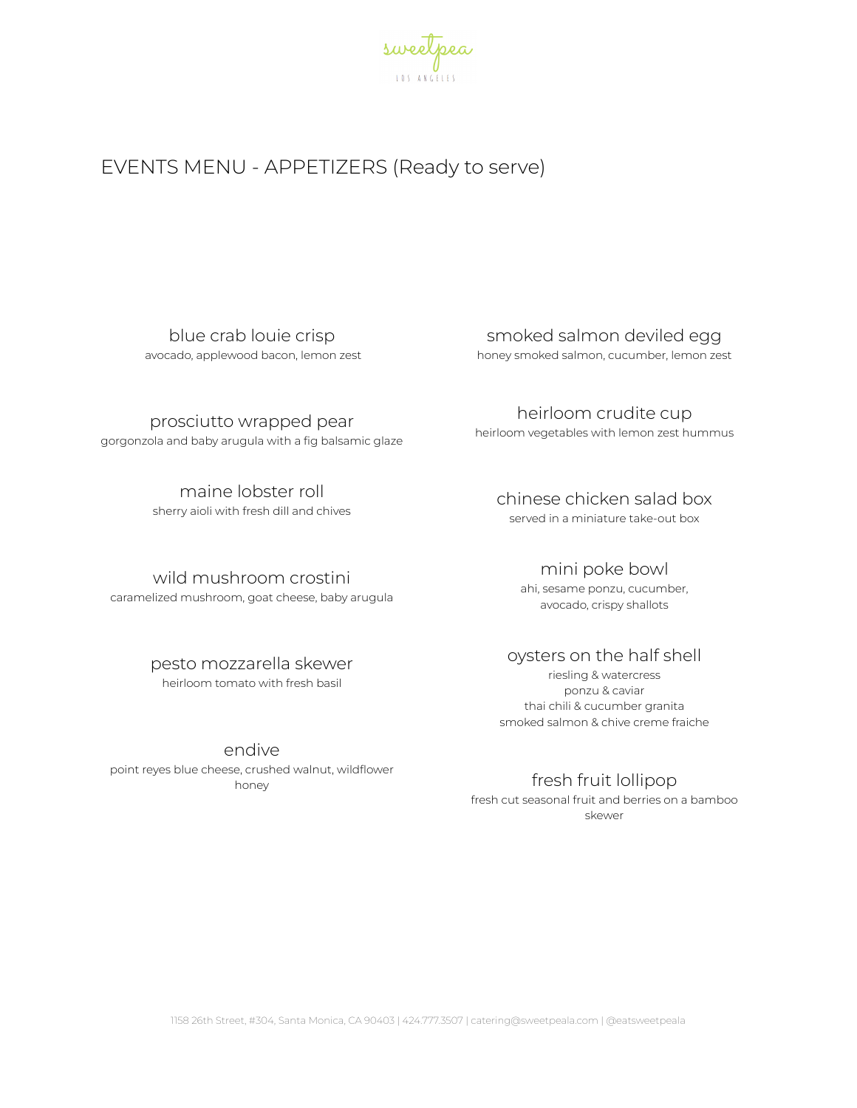

# EVENTS MENU - APPETIZERS (Ready to serve)

blue crab louie crisp avocado, applewood bacon, lemon zest

prosciutto wrapped pear

gorgonzola and baby arugula with a fig balsamic glaze

maine lobster roll

sherry aioli with fresh dill and chives

#### wild mushroom crostini

caramelized mushroom, goat cheese, baby arugula

# pesto mozzarella skewer

heirloom tomato with fresh basil

#### endive

point reyes blue cheese, crushed walnut, wildflower honey

# smoked salmon deviled egg

honey smoked salmon, cucumber, lemon zest

heirloom crudite cup heirloom vegetables with lemon zest hummus

# chinese chicken salad box

served in a miniature take-out box

#### mini poke bowl

ahi, sesame ponzu, cucumber, avocado, crispy shallots

# oysters on the half shell

riesling & watercress ponzu & caviar thai chili & cucumber granita smoked salmon & chive creme fraiche

# fresh fruit lollipop

fresh cut seasonal fruit and berries on a bamboo skewer